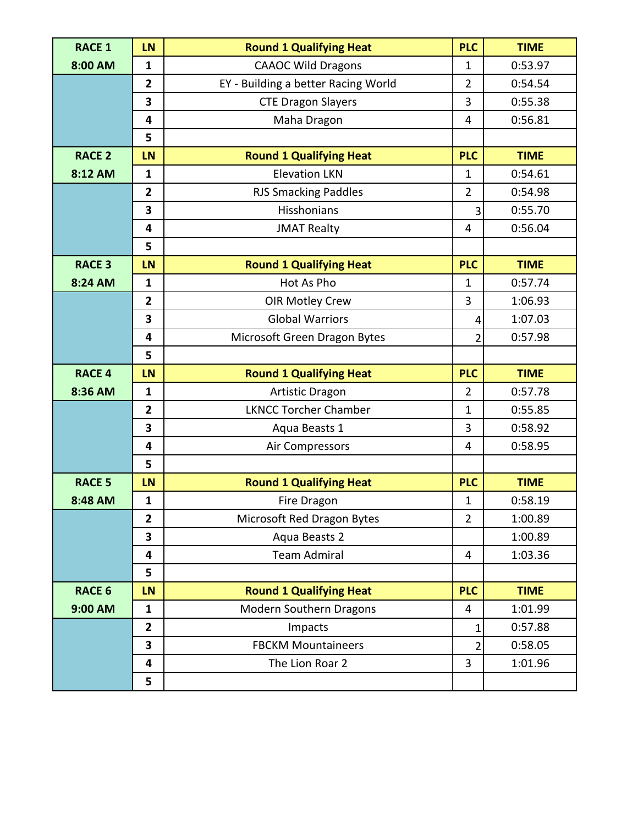| <b>RACE 1</b> | LN                      | <b>Round 1 Qualifying Heat</b>      | <b>PLC</b>     | <b>TIME</b> |
|---------------|-------------------------|-------------------------------------|----------------|-------------|
| 8:00 AM       | $\mathbf{1}$            | <b>CAAOC Wild Dragons</b>           | 1              | 0:53.97     |
|               | $\overline{2}$          | EY - Building a better Racing World | $\overline{2}$ | 0:54.54     |
|               | 3                       | <b>CTE Dragon Slayers</b>           | 3              | 0:55.38     |
|               | 4                       | Maha Dragon                         | 4              | 0:56.81     |
|               | 5                       |                                     |                |             |
| <b>RACE 2</b> | <b>LN</b>               | <b>Round 1 Qualifying Heat</b>      | <b>PLC</b>     | <b>TIME</b> |
| 8:12 AM       | $\mathbf{1}$            | <b>Elevation LKN</b>                | $\mathbf{1}$   | 0:54.61     |
|               | $\overline{2}$          | <b>RJS Smacking Paddles</b>         | $\overline{2}$ | 0:54.98     |
|               | 3                       | Hisshonians                         | 3              | 0:55.70     |
|               | 4                       | <b>JMAT Realty</b>                  | 4              | 0:56.04     |
|               | 5                       |                                     |                |             |
| <b>RACE 3</b> | <b>LN</b>               | <b>Round 1 Qualifying Heat</b>      | <b>PLC</b>     | <b>TIME</b> |
| 8:24 AM       | $\mathbf{1}$            | Hot As Pho                          | 1              | 0:57.74     |
|               | $\overline{2}$          | <b>OIR Motley Crew</b>              | 3              | 1:06.93     |
|               | 3                       | <b>Global Warriors</b>              | 4              | 1:07.03     |
|               | 4                       | Microsoft Green Dragon Bytes        | 2              | 0:57.98     |
|               | 5                       |                                     |                |             |
|               |                         |                                     |                |             |
| <b>RACE 4</b> | <b>LN</b>               | <b>Round 1 Qualifying Heat</b>      | <b>PLC</b>     | <b>TIME</b> |
| 8:36 AM       | $\mathbf{1}$            | <b>Artistic Dragon</b>              | $\overline{2}$ | 0:57.78     |
|               | $\overline{2}$          | <b>LKNCC Torcher Chamber</b>        | $\mathbf{1}$   | 0:55.85     |
|               | 3                       | Aqua Beasts 1                       | 3              | 0:58.92     |
|               | 4                       | Air Compressors                     | 4              | 0:58.95     |
|               | 5                       |                                     |                |             |
| <b>RACE 5</b> | <b>LN</b>               | <b>Round 1 Qualifying Heat</b>      | <b>PLC</b>     | <b>TIME</b> |
| 8:48 AM       | 1                       | Fire Dragon                         | $\mathbf 1$    | 0:58.19     |
|               | $\overline{\mathbf{2}}$ | Microsoft Red Dragon Bytes          | $\overline{2}$ | 1:00.89     |
|               | 3                       | Aqua Beasts 2                       |                | 1:00.89     |
|               | 4                       | <b>Team Admiral</b>                 | $\overline{4}$ | 1:03.36     |
|               | 5                       |                                     |                |             |
| <b>RACE 6</b> | <b>LN</b>               | <b>Round 1 Qualifying Heat</b>      | <b>PLC</b>     | <b>TIME</b> |
| 9:00 AM       | $\mathbf{1}$            | Modern Southern Dragons             | 4              | 1:01.99     |
|               | $\mathbf{2}$            | Impacts                             | 1              | 0:57.88     |
|               | 3                       | <b>FBCKM Mountaineers</b>           | 2              | 0:58.05     |
|               | 4                       | The Lion Roar 2                     | 3              | 1:01.96     |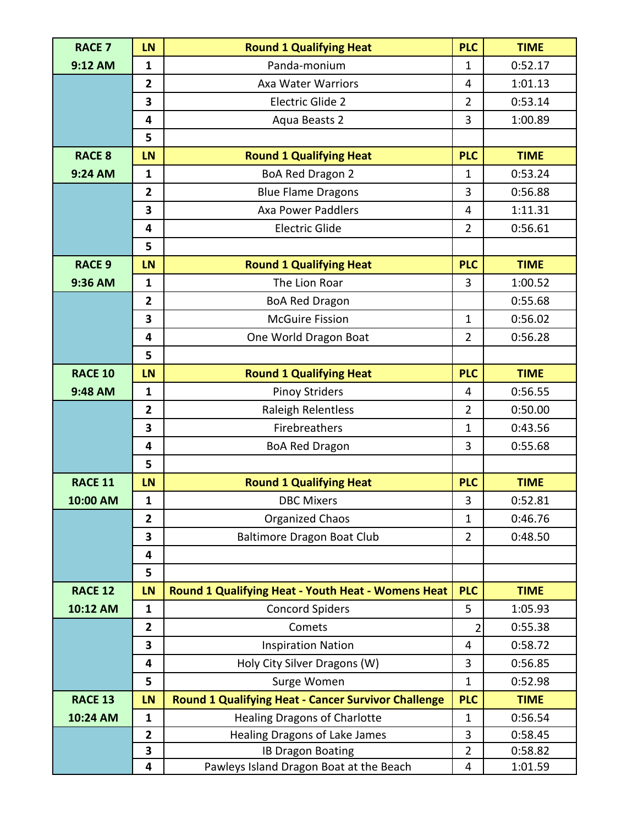| <b>RACE 7</b>  | <b>LN</b>               | <b>Round 1 Qualifying Heat</b>                             | <b>PLC</b>     | <b>TIME</b> |
|----------------|-------------------------|------------------------------------------------------------|----------------|-------------|
| 9:12 AM        | $\mathbf{1}$            | Panda-monium                                               | 1              | 0:52.17     |
|                | $\overline{2}$          | <b>Axa Water Warriors</b>                                  | 4              | 1:01.13     |
|                | 3                       | Electric Glide 2                                           | $\overline{2}$ | 0:53.14     |
|                | 4                       | Aqua Beasts 2                                              | 3              | 1:00.89     |
|                | 5                       |                                                            |                |             |
| <b>RACE 8</b>  | <b>LN</b>               | <b>Round 1 Qualifying Heat</b>                             | <b>PLC</b>     | <b>TIME</b> |
| 9:24 AM        | $\mathbf{1}$            | BoA Red Dragon 2                                           | $\mathbf{1}$   | 0:53.24     |
|                | $\overline{\mathbf{2}}$ | <b>Blue Flame Dragons</b>                                  | 3              | 0:56.88     |
|                | 3                       | <b>Axa Power Paddlers</b>                                  | $\overline{4}$ | 1:11.31     |
|                | 4                       | <b>Electric Glide</b>                                      | $\overline{2}$ | 0:56.61     |
|                | 5                       |                                                            |                |             |
| <b>RACE 9</b>  | LN                      | <b>Round 1 Qualifying Heat</b>                             | <b>PLC</b>     | <b>TIME</b> |
| 9:36 AM        | $\mathbf{1}$            | The Lion Roar                                              | 3              | 1:00.52     |
|                | $\overline{2}$          | <b>BoA Red Dragon</b>                                      |                | 0:55.68     |
|                | 3                       | <b>McGuire Fission</b>                                     | $\mathbf{1}$   | 0:56.02     |
|                | 4                       | One World Dragon Boat                                      | $\overline{2}$ | 0:56.28     |
|                | 5                       |                                                            |                |             |
| <b>RACE 10</b> | <b>LN</b>               | <b>Round 1 Qualifying Heat</b>                             | <b>PLC</b>     | <b>TIME</b> |
| 9:48 AM        | $\mathbf{1}$            | <b>Pinoy Striders</b>                                      | $\overline{4}$ | 0:56.55     |
|                | $\overline{\mathbf{2}}$ | Raleigh Relentless                                         | $\overline{2}$ | 0:50.00     |
|                | 3                       | Firebreathers                                              | 1              | 0:43.56     |
|                | 4                       | <b>BoA Red Dragon</b>                                      | 3              | 0:55.68     |
|                | 5                       |                                                            |                |             |
| <b>RACE 11</b> | <b>LN</b>               | <b>Round 1 Qualifying Heat</b>                             | <b>PLC</b>     | <b>TIME</b> |
| 10:00 AM       | 1                       | <b>DBC Mixers</b>                                          | 3              | 0:52.81     |
|                | $\overline{2}$          | <b>Organized Chaos</b>                                     | $\mathbf 1$    | 0:46.76     |
|                | 3                       | <b>Baltimore Dragon Boat Club</b>                          | $\overline{2}$ | 0:48.50     |
|                | 4                       |                                                            |                |             |
|                | 5                       |                                                            |                |             |
| <b>RACE 12</b> | <b>LN</b>               | Round 1 Qualifying Heat - Youth Heat - Womens Heat         | <b>PLC</b>     | <b>TIME</b> |
| 10:12 AM       | $\mathbf{1}$            | <b>Concord Spiders</b>                                     | 5              | 1:05.93     |
|                | $\mathbf{2}$            | Comets                                                     | $\overline{2}$ | 0:55.38     |
|                | 3                       | <b>Inspiration Nation</b>                                  | 4              | 0:58.72     |
|                | 4                       | Holy City Silver Dragons (W)                               | 3              | 0:56.85     |
|                | 5                       | Surge Women                                                | $\mathbf 1$    | 0:52.98     |
| <b>RACE 13</b> | <b>LN</b>               | <b>Round 1 Qualifying Heat - Cancer Survivor Challenge</b> | <b>PLC</b>     | <b>TIME</b> |
| 10:24 AM       | $\mathbf{1}$            | <b>Healing Dragons of Charlotte</b>                        | $\mathbf{1}$   | 0:56.54     |
|                | $\overline{2}$          | <b>Healing Dragons of Lake James</b>                       | 3              | 0:58.45     |
|                | 3                       | <b>IB Dragon Boating</b>                                   | $\overline{2}$ | 0:58.82     |
|                | 4                       | Pawleys Island Dragon Boat at the Beach                    | $\overline{4}$ | 1:01.59     |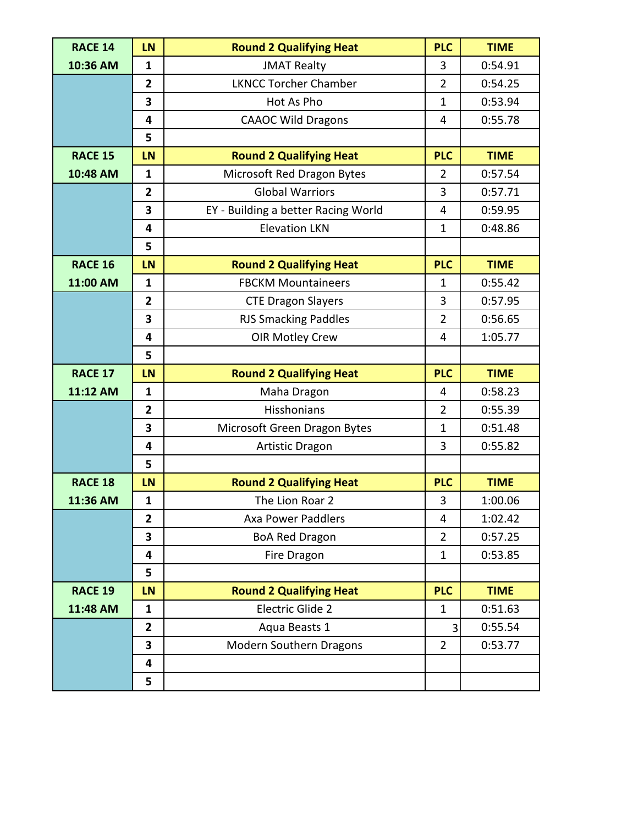| <b>RACE 14</b> | <b>LN</b>               | <b>Round 2 Qualifying Heat</b>      | <b>PLC</b>     | <b>TIME</b> |
|----------------|-------------------------|-------------------------------------|----------------|-------------|
| 10:36 AM       | $\mathbf{1}$            | <b>JMAT Realty</b>                  | 3              | 0:54.91     |
|                | $\overline{2}$          | <b>LKNCC Torcher Chamber</b>        | $\overline{2}$ | 0:54.25     |
|                | 3                       | Hot As Pho                          | $\mathbf{1}$   | 0:53.94     |
|                | $\overline{\mathbf{4}}$ | <b>CAAOC Wild Dragons</b>           | 4              | 0:55.78     |
|                | 5                       |                                     |                |             |
| <b>RACE 15</b> | <b>LN</b>               | <b>Round 2 Qualifying Heat</b>      | <b>PLC</b>     | <b>TIME</b> |
| 10:48 AM       | $\mathbf{1}$            | Microsoft Red Dragon Bytes          | 2              | 0:57.54     |
|                | $\overline{2}$          | <b>Global Warriors</b>              | 3              | 0:57.71     |
|                | 3                       | EY - Building a better Racing World | 4              | 0:59.95     |
|                | $\overline{\mathbf{4}}$ | <b>Elevation LKN</b>                | $\mathbf{1}$   | 0:48.86     |
|                | 5                       |                                     |                |             |
| <b>RACE 16</b> | <b>LN</b>               | <b>Round 2 Qualifying Heat</b>      | <b>PLC</b>     | <b>TIME</b> |
| 11:00 AM       | $\mathbf{1}$            | <b>FBCKM Mountaineers</b>           | $\mathbf{1}$   | 0:55.42     |
|                | $\overline{2}$          | <b>CTE Dragon Slayers</b>           | 3              | 0:57.95     |
|                | $\overline{\mathbf{3}}$ | <b>RJS Smacking Paddles</b>         | $\overline{2}$ | 0:56.65     |
|                | $\overline{\mathbf{4}}$ | <b>OIR Motley Crew</b>              | 4              | 1:05.77     |
|                | 5                       |                                     |                |             |
| <b>RACE 17</b> | <b>LN</b>               | <b>Round 2 Qualifying Heat</b>      | <b>PLC</b>     | <b>TIME</b> |
| 11:12 AM       | $\mathbf{1}$            | Maha Dragon                         | 4              | 0:58.23     |
|                |                         |                                     |                |             |
|                | $\overline{\mathbf{2}}$ | Hisshonians                         | $\overline{2}$ | 0:55.39     |
|                | 3                       | Microsoft Green Dragon Bytes        | $\mathbf{1}$   | 0:51.48     |
|                | $\overline{\mathbf{4}}$ | <b>Artistic Dragon</b>              | 3              | 0:55.82     |
|                | 5                       |                                     |                |             |
| <b>RACE 18</b> | <b>LN</b>               | <b>Round 2 Qualifying Heat</b>      | <b>PLC</b>     | <b>TIME</b> |
| 11:36 AM       | $\mathbf{1}$            | The Lion Roar 2                     | 3              | 1:00.06     |
|                | $\overline{2}$          | <b>Axa Power Paddlers</b>           | $\overline{4}$ | 1:02.42     |
|                | 3                       | <b>BoA Red Dragon</b>               | $\overline{2}$ | 0:57.25     |
|                | 4                       | Fire Dragon                         | $\mathbf{1}$   | 0:53.85     |
|                | 5                       |                                     |                |             |
| RACE 19        | <b>LN</b>               | <b>Round 2 Qualifying Heat</b>      | <b>PLC</b>     | <b>TIME</b> |
| 11:48 AM       | $\mathbf{1}$            | Electric Glide 2                    | $\mathbf{1}$   | 0:51.63     |
|                | $\mathbf{2}$            | Aqua Beasts 1                       | 3              | 0:55.54     |
|                | 3                       | Modern Southern Dragons             | $\overline{2}$ | 0:53.77     |
|                | 4                       |                                     |                |             |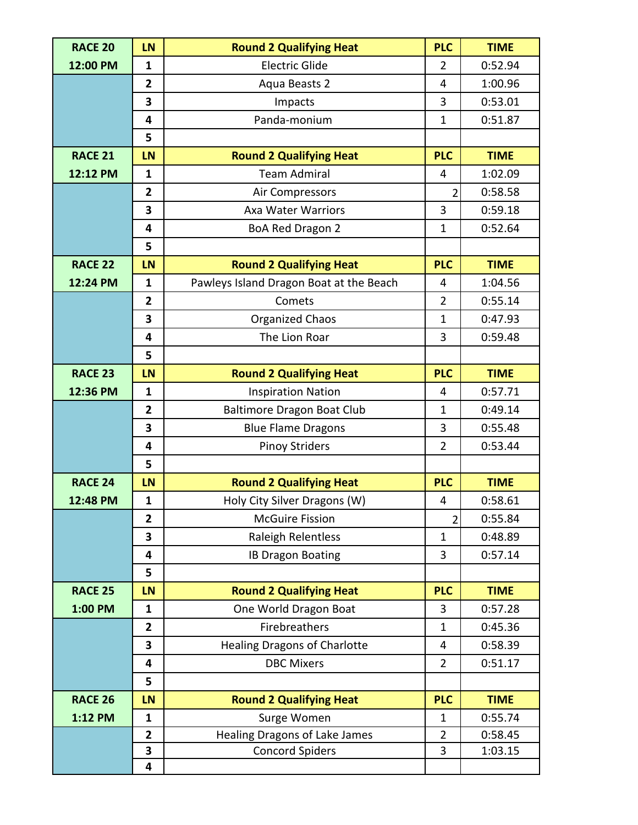| <b>RACE 20</b> | <b>LN</b>      | <b>Round 2 Qualifying Heat</b>          | <b>PLC</b>     | <b>TIME</b> |
|----------------|----------------|-----------------------------------------|----------------|-------------|
| 12:00 PM       | $\mathbf{1}$   | <b>Electric Glide</b>                   | $\overline{2}$ | 0:52.94     |
|                | $\overline{2}$ | Aqua Beasts 2                           | 4              | 1:00.96     |
|                | 3              | Impacts                                 | 3              | 0:53.01     |
|                | 4              | Panda-monium                            | $\mathbf{1}$   | 0:51.87     |
|                | 5              |                                         |                |             |
| <b>RACE 21</b> | <b>LN</b>      | <b>Round 2 Qualifying Heat</b>          | <b>PLC</b>     | <b>TIME</b> |
| 12:12 PM       | $\mathbf{1}$   | <b>Team Admiral</b>                     | $\overline{4}$ | 1:02.09     |
|                | $\overline{2}$ | Air Compressors                         | $\overline{2}$ | 0:58.58     |
|                | 3              | <b>Axa Water Warriors</b>               | 3              | 0:59.18     |
|                | 4              | BoA Red Dragon 2                        | $\mathbf{1}$   | 0:52.64     |
|                | 5              |                                         |                |             |
| <b>RACE 22</b> | LN             | <b>Round 2 Qualifying Heat</b>          | <b>PLC</b>     | <b>TIME</b> |
| 12:24 PM       | $\mathbf{1}$   | Pawleys Island Dragon Boat at the Beach | 4              | 1:04.56     |
|                | $\overline{2}$ | Comets                                  | $\overline{2}$ | 0:55.14     |
|                | 3              | Organized Chaos                         | $\mathbf{1}$   | 0:47.93     |
|                | 4              | The Lion Roar                           | 3              | 0:59.48     |
|                | 5              |                                         |                |             |
| <b>RACE 23</b> | <b>LN</b>      | <b>Round 2 Qualifying Heat</b>          | <b>PLC</b>     | <b>TIME</b> |
| 12:36 PM       | $\mathbf{1}$   | <b>Inspiration Nation</b>               | 4              | 0:57.71     |
|                | $\overline{2}$ | <b>Baltimore Dragon Boat Club</b>       | $\mathbf{1}$   | 0:49.14     |
|                | 3              | <b>Blue Flame Dragons</b>               | 3              | 0:55.48     |
|                | 4              | <b>Pinoy Striders</b>                   | $\overline{2}$ | 0:53.44     |
|                | 5              |                                         |                |             |
| <b>RACE 24</b> | <b>LN</b>      | <b>Round 2 Qualifying Heat</b>          | <b>PLC</b>     | <b>TIME</b> |
| 12:48 PM       | $\mathbf{1}$   | Holy City Silver Dragons (W)            | 4              | 0:58.61     |
|                | $\overline{2}$ | <b>McGuire Fission</b>                  | $\overline{2}$ | 0:55.84     |
|                | 3              | Raleigh Relentless                      | $\mathbf{1}$   | 0:48.89     |
|                | 4              | <b>IB Dragon Boating</b>                | 3              | 0:57.14     |
|                | 5              |                                         |                |             |
| <b>RACE 25</b> | <b>LN</b>      | <b>Round 2 Qualifying Heat</b>          | <b>PLC</b>     | <b>TIME</b> |
| 1:00 PM        | $\mathbf{1}$   | One World Dragon Boat                   | 3              | 0:57.28     |
|                | $\mathbf{2}$   | Firebreathers                           | $\mathbf{1}$   | 0:45.36     |
|                | 3              | <b>Healing Dragons of Charlotte</b>     | 4              | 0:58.39     |
|                | 4              | <b>DBC Mixers</b>                       | $\overline{2}$ | 0:51.17     |
|                | 5              |                                         |                |             |
| <b>RACE 26</b> | <b>LN</b>      | <b>Round 2 Qualifying Heat</b>          | <b>PLC</b>     | <b>TIME</b> |
| 1:12 PM        | $\mathbf{1}$   | Surge Women                             | 1              | 0:55.74     |
|                | $\overline{2}$ | Healing Dragons of Lake James           | $\overline{2}$ | 0:58.45     |
|                | 3              | <b>Concord Spiders</b>                  | 3              | 1:03.15     |
|                | 4              |                                         |                |             |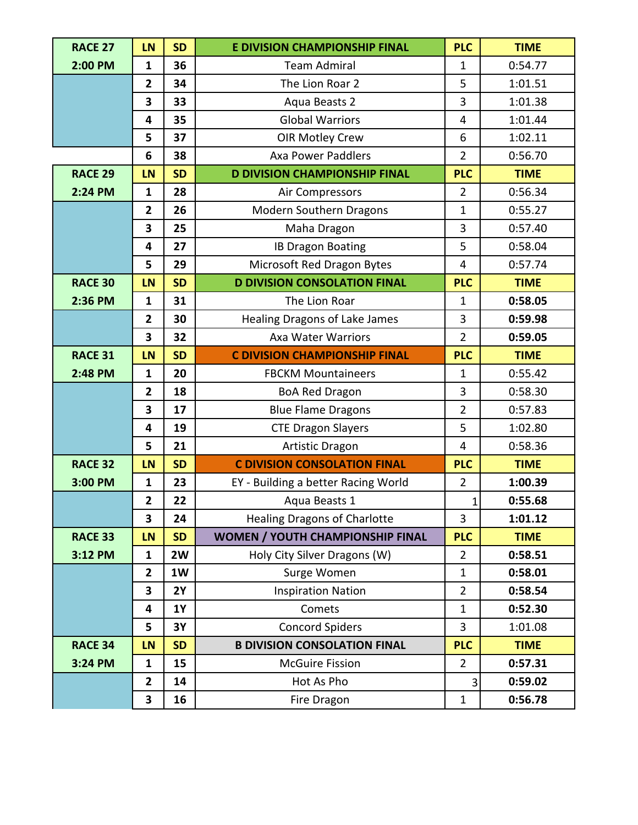| <b>RACE 27</b> | <b>LN</b>               | <b>SD</b> | <b>E DIVISION CHAMPIONSHIP FINAL</b> | <b>PLC</b>     | <b>TIME</b> |
|----------------|-------------------------|-----------|--------------------------------------|----------------|-------------|
| 2:00 PM        | $\mathbf{1}$            | 36        | <b>Team Admiral</b>                  | 1              | 0:54.77     |
|                | $\mathbf{2}$            | 34        | The Lion Roar 2                      | 5              | 1:01.51     |
|                | 3                       | 33        | Aqua Beasts 2                        | $\overline{3}$ | 1:01.38     |
|                | 4                       | 35        | <b>Global Warriors</b>               | $\overline{4}$ | 1:01.44     |
|                | 5                       | 37        | <b>OIR Motley Crew</b>               | 6              | 1:02.11     |
|                | 6                       | 38        | <b>Axa Power Paddlers</b>            | $\overline{2}$ | 0:56.70     |
| <b>RACE 29</b> | <b>LN</b>               | <b>SD</b> | <b>D DIVISION CHAMPIONSHIP FINAL</b> | <b>PLC</b>     | <b>TIME</b> |
| 2:24 PM        | $\mathbf{1}$            | 28        | Air Compressors                      | $\overline{2}$ | 0:56.34     |
|                | $\overline{2}$          | 26        | Modern Southern Dragons              | $\mathbf{1}$   | 0:55.27     |
|                | $\overline{\mathbf{3}}$ | 25        | Maha Dragon                          | 3              | 0:57.40     |
|                | 4                       | 27        | <b>IB Dragon Boating</b>             | 5              | 0:58.04     |
|                | 5                       | 29        | Microsoft Red Dragon Bytes           | $\overline{4}$ | 0:57.74     |
| <b>RACE 30</b> | <b>LN</b>               | <b>SD</b> | <b>D DIVISION CONSOLATION FINAL</b>  | <b>PLC</b>     | <b>TIME</b> |
| 2:36 PM        | $\mathbf{1}$            | 31        | The Lion Roar                        | $\mathbf{1}$   | 0:58.05     |
|                | $\overline{2}$          | 30        | Healing Dragons of Lake James        | 3              | 0:59.98     |
|                | 3                       | 32        | <b>Axa Water Warriors</b>            | $\overline{2}$ | 0:59.05     |
| <b>RACE 31</b> | <b>LN</b>               | <b>SD</b> | <b>C DIVISION CHAMPIONSHIP FINAL</b> | <b>PLC</b>     | <b>TIME</b> |
| 2:48 PM        | $\mathbf{1}$            | 20        | <b>FBCKM Mountaineers</b>            | $\mathbf{1}$   | 0:55.42     |
|                | $\overline{2}$          | 18        | <b>BoA Red Dragon</b>                | 3              | 0:58.30     |
|                | $\overline{\mathbf{3}}$ | 17        | <b>Blue Flame Dragons</b>            | $\overline{2}$ | 0:57.83     |
|                | 4                       | 19        | <b>CTE Dragon Slayers</b>            | 5              | 1:02.80     |
|                | 5                       | 21        | <b>Artistic Dragon</b>               | 4              | 0:58.36     |
| <b>RACE 32</b> | <b>LN</b>               | <b>SD</b> | <b>C DIVISION CONSOLATION FINAL</b>  | <b>PLC</b>     | <b>TIME</b> |
| 3:00 PM        | $\mathbf{1}$            | 23        | EY - Building a better Racing World  | $\overline{2}$ | 1:00.39     |
|                | 2                       | 22        | Aqua Beasts 1                        | $\mathbf{1}$   | 0:55.68     |
|                | 3                       | 24        | <b>Healing Dragons of Charlotte</b>  | 3              | 1:01.12     |
| <b>RACE 33</b> | <b>LN</b>               | <b>SD</b> | WOMEN / YOUTH CHAMPIONSHIP FINAL     | <b>PLC</b>     | <b>TIME</b> |
| 3:12 PM        | $\mathbf{1}$            | 2W        | Holy City Silver Dragons (W)         | $\overline{2}$ | 0:58.51     |
|                | $\overline{2}$          | 1W        | Surge Women                          | $\mathbf{1}$   | 0:58.01     |
|                | 3                       | <b>2Y</b> | <b>Inspiration Nation</b>            | $\overline{2}$ | 0:58.54     |
|                | 4                       | <b>1Y</b> | Comets                               | $\mathbf{1}$   | 0:52.30     |
|                | 5                       | 3Y        | <b>Concord Spiders</b>               | 3              | 1:01.08     |
| <b>RACE 34</b> | <b>LN</b>               | <b>SD</b> | <b>B DIVISION CONSOLATION FINAL</b>  | <b>PLC</b>     | <b>TIME</b> |
| 3:24 PM        | 1                       | 15        | <b>McGuire Fission</b>               | $\overline{2}$ | 0:57.31     |
|                | $\overline{\mathbf{2}}$ | 14        | Hot As Pho                           | 3              | 0:59.02     |
|                | 3                       | 16        | Fire Dragon                          | $\mathbf{1}$   | 0:56.78     |